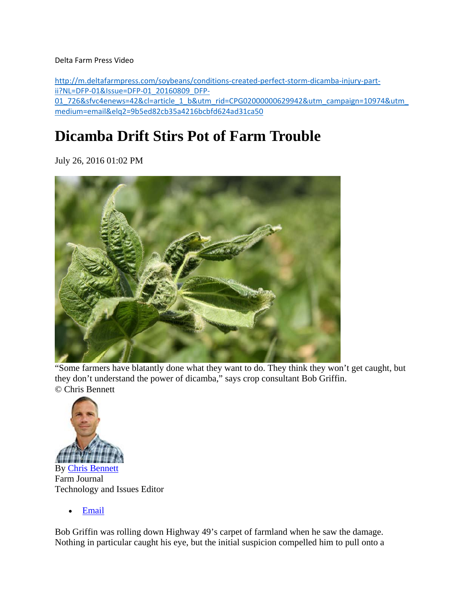#### Delta Farm Press Video

http://m.deltafarmpress.com/soybeans/conditions‐created‐perfect‐storm‐dicamba‐injury‐part‐ ii?NL=DFP‐01&Issue=DFP‐01\_20160809\_DFP‐ 01\_726&sfvc4enews=42&cl=article\_1\_b&utm\_rid=CPG02000000629942&utm\_campaign=10974&utm\_ medium=email&elq2=9b5ed82cb35a4216bcbfd624ad31ca50

## **Dicamba Drift Stirs Pot of Farm Trouble**

July 26, 2016 01:02 PM



"Some farmers have blatantly done what they want to do. They think they won't get caught, but they don't understand the power of dicamba," says crop consultant Bob Griffin. © Chris Bennett



Farm Journal Technology and Issues Editor

Email

Bob Griffin was rolling down Highway 49's carpet of farmland when he saw the damage. Nothing in particular caught his eye, but the initial suspicion compelled him to pull onto a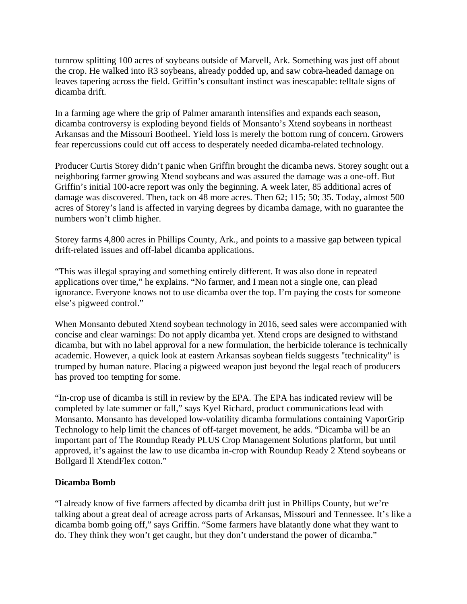turnrow splitting 100 acres of soybeans outside of Marvell, Ark. Something was just off about the crop. He walked into R3 soybeans, already podded up, and saw cobra-headed damage on leaves tapering across the field. Griffin's consultant instinct was inescapable: telltale signs of dicamba drift.

In a farming age where the grip of Palmer amaranth intensifies and expands each season, dicamba controversy is exploding beyond fields of Monsanto's Xtend soybeans in northeast Arkansas and the Missouri Bootheel. Yield loss is merely the bottom rung of concern. Growers fear repercussions could cut off access to desperately needed dicamba-related technology.

Producer Curtis Storey didn't panic when Griffin brought the dicamba news. Storey sought out a neighboring farmer growing Xtend soybeans and was assured the damage was a one-off. But Griffin's initial 100-acre report was only the beginning. A week later, 85 additional acres of damage was discovered. Then, tack on 48 more acres. Then 62; 115; 50; 35. Today, almost 500 acres of Storey's land is affected in varying degrees by dicamba damage, with no guarantee the numbers won't climb higher.

Storey farms 4,800 acres in Phillips County, Ark., and points to a massive gap between typical drift-related issues and off-label dicamba applications.

"This was illegal spraying and something entirely different. It was also done in repeated applications over time," he explains. "No farmer, and I mean not a single one, can plead ignorance. Everyone knows not to use dicamba over the top. I'm paying the costs for someone else's pigweed control."

When Monsanto debuted Xtend soybean technology in 2016, seed sales were accompanied with concise and clear warnings: Do not apply dicamba yet. Xtend crops are designed to withstand dicamba, but with no label approval for a new formulation, the herbicide tolerance is technically academic. However, a quick look at eastern Arkansas soybean fields suggests "technicality" is trumped by human nature. Placing a pigweed weapon just beyond the legal reach of producers has proved too tempting for some.

"In-crop use of dicamba is still in review by the EPA. The EPA has indicated review will be completed by late summer or fall," says Kyel Richard, product communications lead with Monsanto. Monsanto has developed low-volatility dicamba formulations containing VaporGrip Technology to help limit the chances of off-target movement, he adds. "Dicamba will be an important part of The Roundup Ready PLUS Crop Management Solutions platform, but until approved, it's against the law to use dicamba in-crop with Roundup Ready 2 Xtend soybeans or Bollgard ll XtendFlex cotton."

#### **Dicamba Bomb**

"I already know of five farmers affected by dicamba drift just in Phillips County, but we're talking about a great deal of acreage across parts of Arkansas, Missouri and Tennessee. It's like a dicamba bomb going off," says Griffin. "Some farmers have blatantly done what they want to do. They think they won't get caught, but they don't understand the power of dicamba."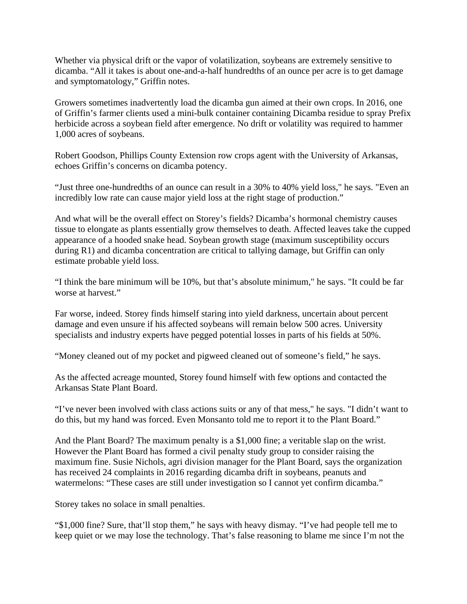Whether via physical drift or the vapor of volatilization, soybeans are extremely sensitive to dicamba. "All it takes is about one-and-a-half hundredths of an ounce per acre is to get damage and symptomatology," Griffin notes.

Growers sometimes inadvertently load the dicamba gun aimed at their own crops. In 2016, one of Griffin's farmer clients used a mini-bulk container containing Dicamba residue to spray Prefix herbicide across a soybean field after emergence. No drift or volatility was required to hammer 1,000 acres of soybeans.

Robert Goodson, Phillips County Extension row crops agent with the University of Arkansas, echoes Griffin's concerns on dicamba potency.

"Just three one-hundredths of an ounce can result in a 30% to 40% yield loss," he says. "Even an incredibly low rate can cause major yield loss at the right stage of production."

And what will be the overall effect on Storey's fields? Dicamba's hormonal chemistry causes tissue to elongate as plants essentially grow themselves to death. Affected leaves take the cupped appearance of a hooded snake head. Soybean growth stage (maximum susceptibility occurs during R1) and dicamba concentration are critical to tallying damage, but Griffin can only estimate probable yield loss.

"I think the bare minimum will be 10%, but that's absolute minimum," he says. "It could be far worse at harvest."

Far worse, indeed. Storey finds himself staring into yield darkness, uncertain about percent damage and even unsure if his affected soybeans will remain below 500 acres. University specialists and industry experts have pegged potential losses in parts of his fields at 50%.

"Money cleaned out of my pocket and pigweed cleaned out of someone's field," he says.

As the affected acreage mounted, Storey found himself with few options and contacted the Arkansas State Plant Board.

"I've never been involved with class actions suits or any of that mess," he says. "I didn't want to do this, but my hand was forced. Even Monsanto told me to report it to the Plant Board."

And the Plant Board? The maximum penalty is a \$1,000 fine; a veritable slap on the wrist. However the Plant Board has formed a civil penalty study group to consider raising the maximum fine. Susie Nichols, agri division manager for the Plant Board, says the organization has received 24 complaints in 2016 regarding dicamba drift in soybeans, peanuts and watermelons: "These cases are still under investigation so I cannot yet confirm dicamba."

Storey takes no solace in small penalties.

"\$1,000 fine? Sure, that'll stop them," he says with heavy dismay. "I've had people tell me to keep quiet or we may lose the technology. That's false reasoning to blame me since I'm not the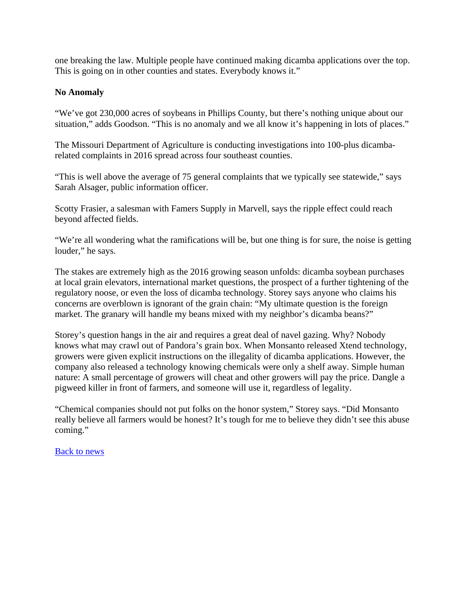one breaking the law. Multiple people have continued making dicamba applications over the top. This is going on in other counties and states. Everybody knows it."

### **No Anomaly**

"We've got 230,000 acres of soybeans in Phillips County, but there's nothing unique about our situation," adds Goodson. "This is no anomaly and we all know it's happening in lots of places."

The Missouri Department of Agriculture is conducting investigations into 100-plus dicambarelated complaints in 2016 spread across four southeast counties.

"This is well above the average of 75 general complaints that we typically see statewide," says Sarah Alsager, public information officer.

Scotty Frasier, a salesman with Famers Supply in Marvell, says the ripple effect could reach beyond affected fields.

"We're all wondering what the ramifications will be, but one thing is for sure, the noise is getting louder," he says.

The stakes are extremely high as the 2016 growing season unfolds: dicamba soybean purchases at local grain elevators, international market questions, the prospect of a further tightening of the regulatory noose, or even the loss of dicamba technology. Storey says anyone who claims his concerns are overblown is ignorant of the grain chain: "My ultimate question is the foreign market. The granary will handle my beans mixed with my neighbor's dicamba beans?"

Storey's question hangs in the air and requires a great deal of navel gazing. Why? Nobody knows what may crawl out of Pandora's grain box. When Monsanto released Xtend technology, growers were given explicit instructions on the illegality of dicamba applications. However, the company also released a technology knowing chemicals were only a shelf away. Simple human nature: A small percentage of growers will cheat and other growers will pay the price. Dangle a pigweed killer in front of farmers, and someone will use it, regardless of legality.

"Chemical companies should not put folks on the honor system," Storey says. "Did Monsanto really believe all farmers would be honest? It's tough for me to believe they didn't see this abuse coming."

Back to news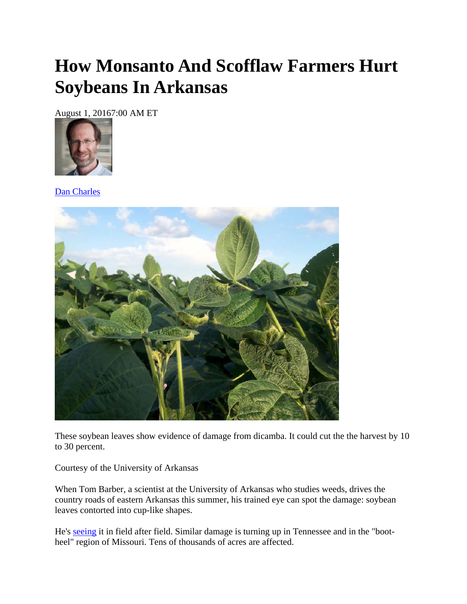# **How Monsanto And Scofflaw Farmers Hurt Soybeans In Arkansas**

August 1, 20167:00 AM ET



Dan Charles



These soybean leaves show evidence of damage from dicamba. It could cut the the harvest by 10 to 30 percent.

Courtesy of the University of Arkansas

When Tom Barber, a scientist at the University of Arkansas who studies weeds, drives the country roads of eastern Arkansas this summer, his trained eye can spot the damage: soybean leaves contorted into cup-like shapes.

He's seeing it in field after field. Similar damage is turning up in Tennessee and in the "bootheel" region of Missouri. Tens of thousands of acres are affected.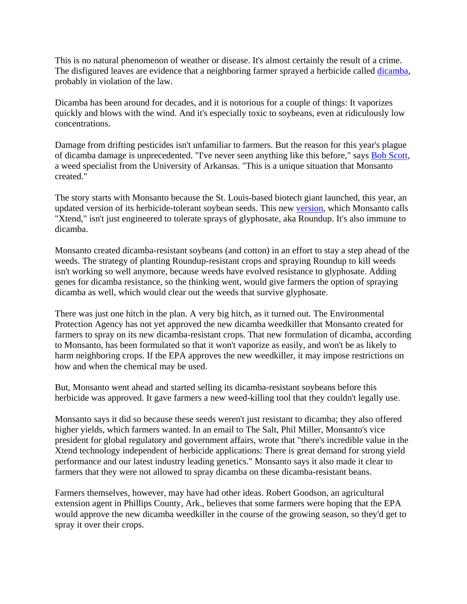This is no natural phenomenon of weather or disease. It's almost certainly the result of a crime. The disfigured leaves are evidence that a neighboring farmer sprayed a herbicide called dicamba, probably in violation of the law.

Dicamba has been around for decades, and it is notorious for a couple of things: It vaporizes quickly and blows with the wind. And it's especially toxic to soybeans, even at ridiculously low concentrations.

Damage from drifting pesticides isn't unfamiliar to farmers. But the reason for this year's plague of dicamba damage is unprecedented. "I've never seen anything like this before," says Bob Scott, a weed specialist from the University of Arkansas. "This is a unique situation that Monsanto created."

The story starts with Monsanto because the St. Louis-based biotech giant launched, this year, an updated version of its herbicide-tolerant soybean seeds. This new version, which Monsanto calls "Xtend," isn't just engineered to tolerate sprays of glyphosate, aka Roundup. It's also immune to dicamba.

Monsanto created dicamba-resistant soybeans (and cotton) in an effort to stay a step ahead of the weeds. The strategy of planting Roundup-resistant crops and spraying Roundup to kill weeds isn't working so well anymore, because weeds have evolved resistance to glyphosate. Adding genes for dicamba resistance, so the thinking went, would give farmers the option of spraying dicamba as well, which would clear out the weeds that survive glyphosate.

There was just one hitch in the plan. A very big hitch, as it turned out. The Environmental Protection Agency has not yet approved the new dicamba weedkiller that Monsanto created for farmers to spray on its new dicamba-resistant crops. That new formulation of dicamba, according to Monsanto, has been formulated so that it won't vaporize as easily, and won't be as likely to harm neighboring crops. If the EPA approves the new weedkiller, it may impose restrictions on how and when the chemical may be used.

But, Monsanto went ahead and started selling its dicamba-resistant soybeans before this herbicide was approved. It gave farmers a new weed-killing tool that they couldn't legally use.

Monsanto says it did so because these seeds weren't just resistant to dicamba; they also offered higher yields, which farmers wanted. In an email to The Salt, Phil Miller, Monsanto's vice president for global regulatory and government affairs, wrote that "there's incredible value in the Xtend technology independent of herbicide applications: There is great demand for strong yield performance and our latest industry leading genetics." Monsanto says it also made it clear to farmers that they were not allowed to spray dicamba on these dicamba-resistant beans.

Farmers themselves, however, may have had other ideas. Robert Goodson, an agricultural extension agent in Phillips County, Ark., believes that some farmers were hoping that the EPA would approve the new dicamba weedkiller in the course of the growing season, so they'd get to spray it over their crops.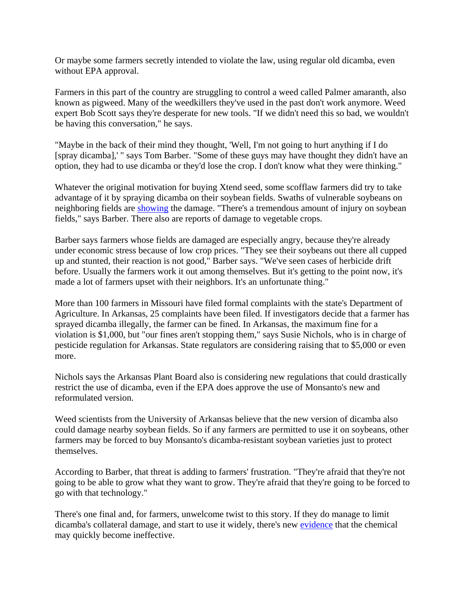Or maybe some farmers secretly intended to violate the law, using regular old dicamba, even without EPA approval.

Farmers in this part of the country are struggling to control a weed called Palmer amaranth, also known as pigweed. Many of the weedkillers they've used in the past don't work anymore. Weed expert Bob Scott says they're desperate for new tools. "If we didn't need this so bad, we wouldn't be having this conversation," he says.

"Maybe in the back of their mind they thought, 'Well, I'm not going to hurt anything if I do [spray dicamba],' " says Tom Barber. "Some of these guys may have thought they didn't have an option, they had to use dicamba or they'd lose the crop. I don't know what they were thinking."

Whatever the original motivation for buying Xtend seed, some scofflaw farmers did try to take advantage of it by spraying dicamba on their soybean fields. Swaths of vulnerable soybeans on neighboring fields are showing the damage. "There's a tremendous amount of injury on soybean fields," says Barber. There also are reports of damage to vegetable crops.

Barber says farmers whose fields are damaged are especially angry, because they're already under economic stress because of low crop prices. "They see their soybeans out there all cupped up and stunted, their reaction is not good," Barber says. "We've seen cases of herbicide drift before. Usually the farmers work it out among themselves. But it's getting to the point now, it's made a lot of farmers upset with their neighbors. It's an unfortunate thing."

More than 100 farmers in Missouri have filed formal complaints with the state's Department of Agriculture. In Arkansas, 25 complaints have been filed. If investigators decide that a farmer has sprayed dicamba illegally, the farmer can be fined. In Arkansas, the maximum fine for a violation is \$1,000, but "our fines aren't stopping them," says Susie Nichols, who is in charge of pesticide regulation for Arkansas. State regulators are considering raising that to \$5,000 or even more.

Nichols says the Arkansas Plant Board also is considering new regulations that could drastically restrict the use of dicamba, even if the EPA does approve the use of Monsanto's new and reformulated version.

Weed scientists from the University of Arkansas believe that the new version of dicamba also could damage nearby soybean fields. So if any farmers are permitted to use it on soybeans, other farmers may be forced to buy Monsanto's dicamba-resistant soybean varieties just to protect themselves.

According to Barber, that threat is adding to farmers' frustration. "They're afraid that they're not going to be able to grow what they want to grow. They're afraid that they're going to be forced to go with that technology."

There's one final and, for farmers, unwelcome twist to this story. If they do manage to limit dicamba's collateral damage, and start to use it widely, there's new evidence that the chemical may quickly become ineffective.